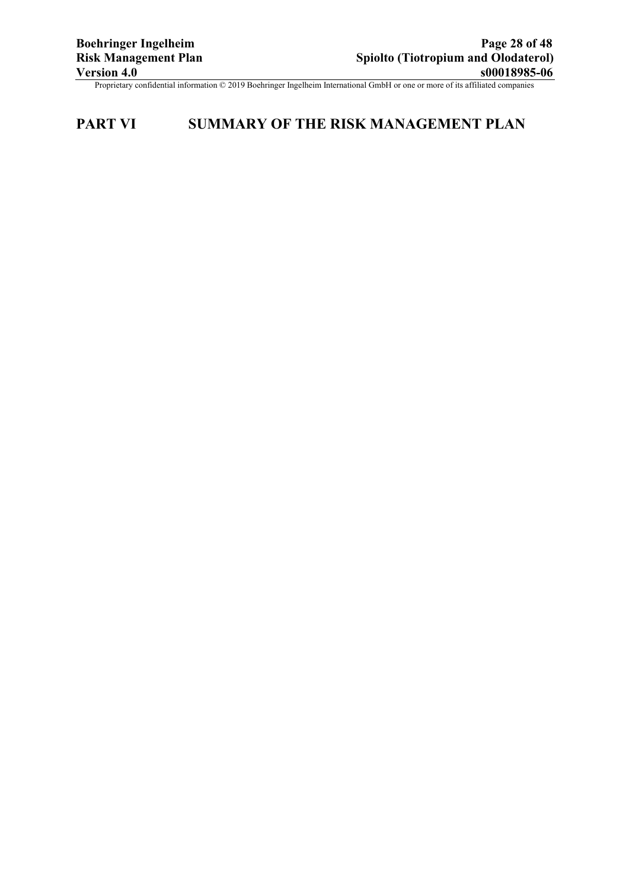# **PART VI SUMMARY OF THE RISK MANAGEMENT PLAN**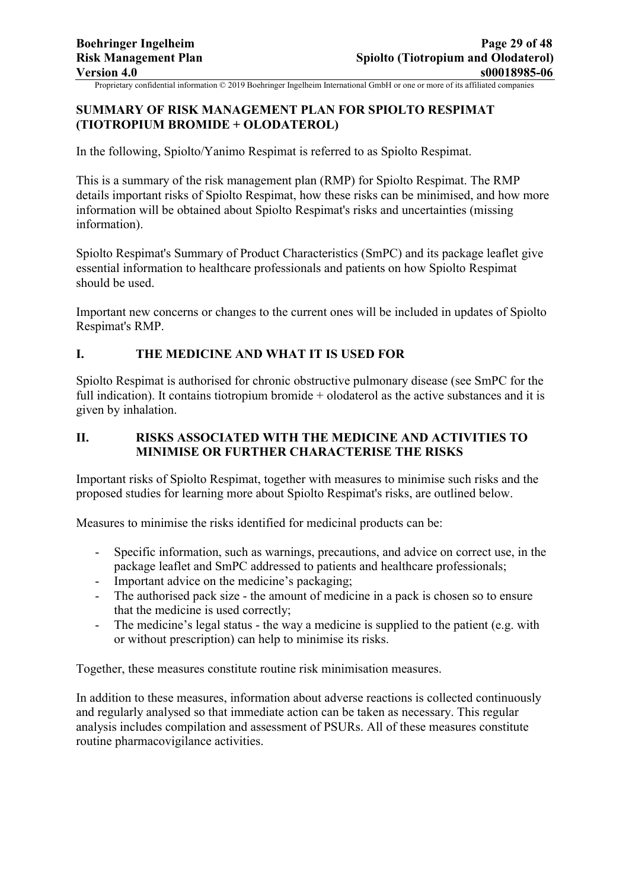# **SUMMARY OF RISK MANAGEMENT PLAN FOR SPIOLTO RESPIMAT (TIOTROPIUM BROMIDE + OLODATEROL)**

In the following, Spiolto/Yanimo Respimat is referred to as Spiolto Respimat.

This is a summary of the risk management plan (RMP) for Spiolto Respimat. The RMP details important risks of Spiolto Respimat, how these risks can be minimised, and how more information will be obtained about Spiolto Respimat's risks and uncertainties (missing information).

Spiolto Respimat's Summary of Product Characteristics (SmPC) and its package leaflet give essential information to healthcare professionals and patients on how Spiolto Respimat should be used.

Important new concerns or changes to the current ones will be included in updates of Spiolto Respimat's RMP.

# **I. THE MEDICINE AND WHAT IT IS USED FOR**

Spiolto Respimat is authorised for chronic obstructive pulmonary disease (see SmPC for the full indication). It contains tiotropium bromide + olodaterol as the active substances and it is given by inhalation.

# **II. RISKS ASSOCIATED WITH THE MEDICINE AND ACTIVITIES TO MINIMISE OR FURTHER CHARACTERISE THE RISKS**

Important risks of Spiolto Respimat, together with measures to minimise such risks and the proposed studies for learning more about Spiolto Respimat's risks, are outlined below.

Measures to minimise the risks identified for medicinal products can be:

- Specific information, such as warnings, precautions, and advice on correct use, in the package leaflet and SmPC addressed to patients and healthcare professionals;
- Important advice on the medicine's packaging;
- The authorised pack size the amount of medicine in a pack is chosen so to ensure that the medicine is used correctly;
- The medicine's legal status the way a medicine is supplied to the patient (e.g. with or without prescription) can help to minimise its risks.

Together, these measures constitute routine risk minimisation measures.

In addition to these measures, information about adverse reactions is collected continuously and regularly analysed so that immediate action can be taken as necessary. This regular analysis includes compilation and assessment of PSURs. All of these measures constitute routine pharmacovigilance activities.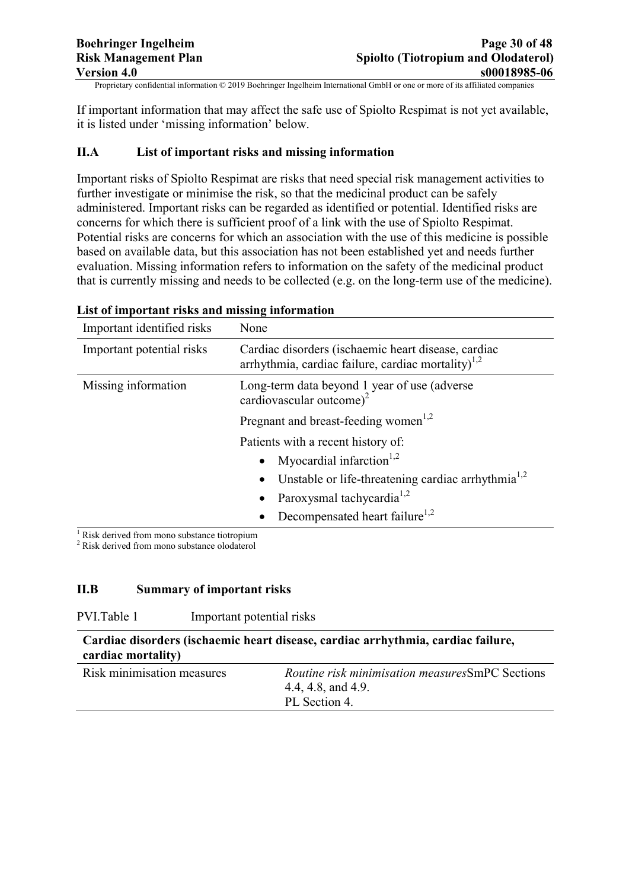If important information that may affect the safe use of Spiolto Respimat is not yet available, it is listed under 'missing information' below.

# **II.A List of important risks and missing information**

Important risks of Spiolto Respimat are risks that need special risk management activities to further investigate or minimise the risk, so that the medicinal product can be safely administered. Important risks can be regarded as identified or potential. Identified risks are concerns for which there is sufficient proof of a link with the use of Spiolto Respimat. Potential risks are concerns for which an association with the use of this medicine is possible based on available data, but this association has not been established yet and needs further evaluation. Missing information refers to information on the safety of the medicinal product that is currently missing and needs to be collected (e.g. on the long-term use of the medicine).

| Important identified risks                  | None                                                                                                            |  |
|---------------------------------------------|-----------------------------------------------------------------------------------------------------------------|--|
| Important potential risks                   | Cardiac disorders (ischaemic heart disease, cardiac<br>arrhythmia, cardiac failure, cardiac mortality) $^{1,2}$ |  |
| Missing information                         | Long-term data beyond 1 year of use (adverse)<br>cardiovascular outcome) <sup>2</sup>                           |  |
|                                             | Pregnant and breast-feeding women <sup>1,2</sup>                                                                |  |
|                                             | Patients with a recent history of:                                                                              |  |
|                                             | Myocardial infarction <sup>1,2</sup>                                                                            |  |
|                                             | Unstable or life-threatening cardiac arrhythmia <sup>1,2</sup>                                                  |  |
|                                             | Paroxysmal tachycardia <sup>1,2</sup>                                                                           |  |
|                                             | Decompensated heart failure <sup>1,2</sup>                                                                      |  |
| Rick derived from mono substance tiotronium |                                                                                                                 |  |

#### **List of important risks and missing information**

Risk derived from mono substance tiotropium

<sup>2</sup> Risk derived from mono substance olodaterol

#### **II.B Summary of important risks**

| PVI.Table 1<br>Important potential risks |  |
|------------------------------------------|--|
|------------------------------------------|--|

| Cardiac disorders (ischaemic heart disease, cardiac arrhythmia, cardiac failure, |                                                    |  |
|----------------------------------------------------------------------------------|----------------------------------------------------|--|
| cardiac mortality)                                                               |                                                    |  |
| Risk minimisation measures                                                       | <i>Routine risk minimisation measuresSmPC Sect</i> |  |

| Risk minimisation measures | <i>Routine risk minimisation measuresSmPC Sections</i> |
|----------------------------|--------------------------------------------------------|
|                            | 4.4, 4.8, and 4.9.                                     |
|                            | PL Section 4.                                          |